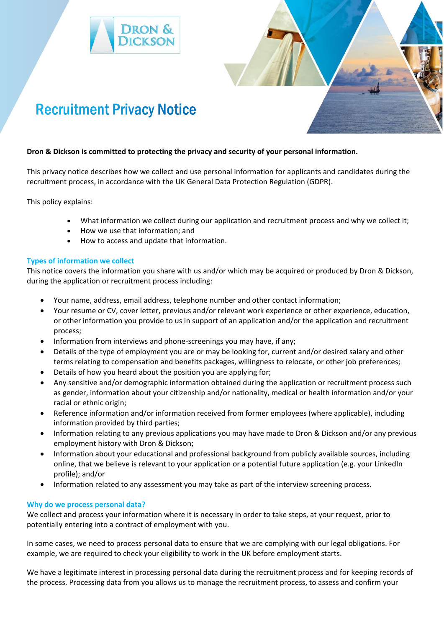



# **Dron & Dickson is committed to protecting the privacy and security of your personal information.**

This privacy notice describes how we collect and use personal information for applicants and candidates during the recruitment process, in accordance with the UK General Data Protection Regulation (GDPR).

This policy explains:

- What information we collect during our application and recruitment process and why we collect it;
- How we use that information; and
- How to access and update that information.

# **Types of information we collect**

This notice covers the information you share with us and/or which may be acquired or produced by Dron & Dickson, during the application or recruitment process including:

- Your name, address, email address, telephone number and other contact information;
- Your resume or CV, cover letter, previous and/or relevant work experience or other experience, education, or other information you provide to us in support of an application and/or the application and recruitment process;
- Information from interviews and phone-screenings you may have, if any;
- Details of the type of employment you are or may be looking for, current and/or desired salary and other terms relating to compensation and benefits packages, willingness to relocate, or other job preferences;
- Details of how you heard about the position you are applying for;
- Any sensitive and/or demographic information obtained during the application or recruitment process such as gender, information about your citizenship and/or nationality, medical or health information and/or your racial or ethnic origin;
- Reference information and/or information received from former employees (where applicable), including information provided by third parties;
- Information relating to any previous applications you may have made to Dron & Dickson and/or any previous employment history with Dron & Dickson;
- Information about your educational and professional background from publicly available sources, including online, that we believe is relevant to your application or a potential future application (e.g. your LinkedIn profile); and/or
- Information related to any assessment you may take as part of the interview screening process.

# **Why do we process personal data?**

We collect and process your information where it is necessary in order to take steps, at your request, prior to potentially entering into a contract of employment with you.

In some cases, we need to process personal data to ensure that we are complying with our legal obligations. For example, we are required to check your eligibility to work in the UK before employment starts.

We have a legitimate interest in processing personal data during the recruitment process and for keeping records of the process. Processing data from you allows us to manage the recruitment process, to assess and confirm your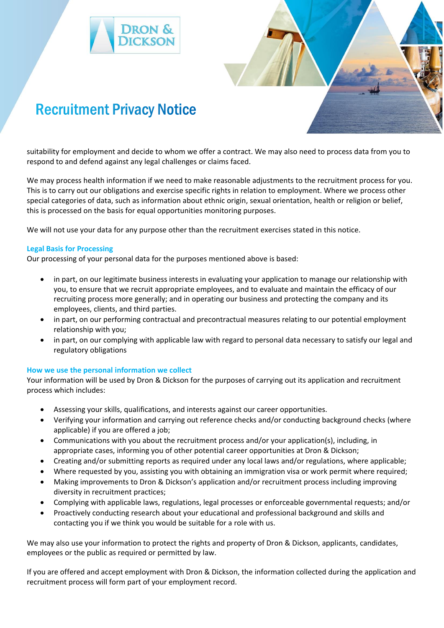



suitability for employment and decide to whom we offer a contract. We may also need to process data from you to respond to and defend against any legal challenges or claims faced.

We may process health information if we need to make reasonable adjustments to the recruitment process for you. This is to carry out our obligations and exercise specific rights in relation to employment. Where we process other special categories of data, such as information about ethnic origin, sexual orientation, health or religion or belief, this is processed on the basis for equal opportunities monitoring purposes.

We will not use your data for any purpose other than the recruitment exercises stated in this notice.

# **Legal Basis for Processing**

Our processing of your personal data for the purposes mentioned above is based:

- in part, on our legitimate business interests in evaluating your application to manage our relationship with you, to ensure that we recruit appropriate employees, and to evaluate and maintain the efficacy of our recruiting process more generally; and in operating our business and protecting the company and its employees, clients, and third parties.
- in part, on our performing contractual and precontractual measures relating to our potential employment relationship with you;
- in part, on our complying with applicable law with regard to personal data necessary to satisfy our legal and regulatory obligations

# **How we use the personal information we collect**

Your information will be used by Dron & Dickson for the purposes of carrying out its application and recruitment process which includes:

- Assessing your skills, qualifications, and interests against our career opportunities.
- Verifying your information and carrying out reference checks and/or conducting background checks (where applicable) if you are offered a job;
- Communications with you about the recruitment process and/or your application(s), including, in appropriate cases, informing you of other potential career opportunities at Dron & Dickson;
- Creating and/or submitting reports as required under any local laws and/or regulations, where applicable;
- Where requested by you, assisting you with obtaining an immigration visa or work permit where required;
- Making improvements to Dron & Dickson's application and/or recruitment process including improving diversity in recruitment practices;
- Complying with applicable laws, regulations, legal processes or enforceable governmental requests; and/or
- Proactively conducting research about your educational and professional background and skills and contacting you if we think you would be suitable for a role with us.

We may also use your information to protect the rights and property of Dron & Dickson, applicants, candidates, employees or the public as required or permitted by law.

If you are offered and accept employment with Dron & Dickson, the information collected during the application and recruitment process will form part of your employment record.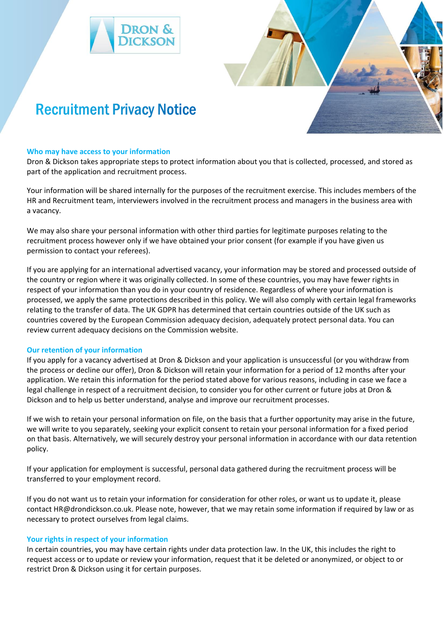



#### **Who may have access to your information**

Dron & Dickson takes appropriate steps to protect information about you that is collected, processed, and stored as part of the application and recruitment process.

Your information will be shared internally for the purposes of the recruitment exercise. This includes members of the HR and Recruitment team, interviewers involved in the recruitment process and managers in the business area with a vacancy.

We may also share your personal information with other third parties for legitimate purposes relating to the recruitment process however only if we have obtained your prior consent (for example if you have given us permission to contact your referees).

If you are applying for an international advertised vacancy, your information may be stored and processed outside of the country or region where it was originally collected. In some of these countries, you may have fewer rights in respect of your information than you do in your country of residence. Regardless of where your information is processed, we apply the same protections described in this policy. We will also comply with certain legal frameworks relating to the transfer of data. The UK GDPR has determined that certain countries outside of the UK such as countries covered by the European Commission adequacy decision, adequately protect personal data. You can review current adequacy decisions on the Commission website.

# **Our retention of your information**

If you apply for a vacancy advertised at Dron & Dickson and your application is unsuccessful (or you withdraw from the process or decline our offer), Dron & Dickson will retain your information for a period of 12 months after your application. We retain this information for the period stated above for various reasons, including in case we face a legal challenge in respect of a recruitment decision, to consider you for other current or future jobs at Dron & Dickson and to help us better understand, analyse and improve our recruitment processes.

If we wish to retain your personal information on file, on the basis that a further opportunity may arise in the future, we will write to you separately, seeking your explicit consent to retain your personal information for a fixed period on that basis. Alternatively, we will securely destroy your personal information in accordance with our data retention policy.

If your application for employment is successful, personal data gathered during the recruitment process will be transferred to your employment record.

If you do not want us to retain your information for consideration for other roles, or want us to update it, please contact HR@drondickson.co.uk. Please note, however, that we may retain some information if required by law or as necessary to protect ourselves from legal claims.

# **Your rights in respect of your information**

In certain countries, you may have certain rights under data protection law. In the UK, this includes the right to request access or to update or review your information, request that it be deleted or anonymized, or object to or restrict Dron & Dickson using it for certain purposes.